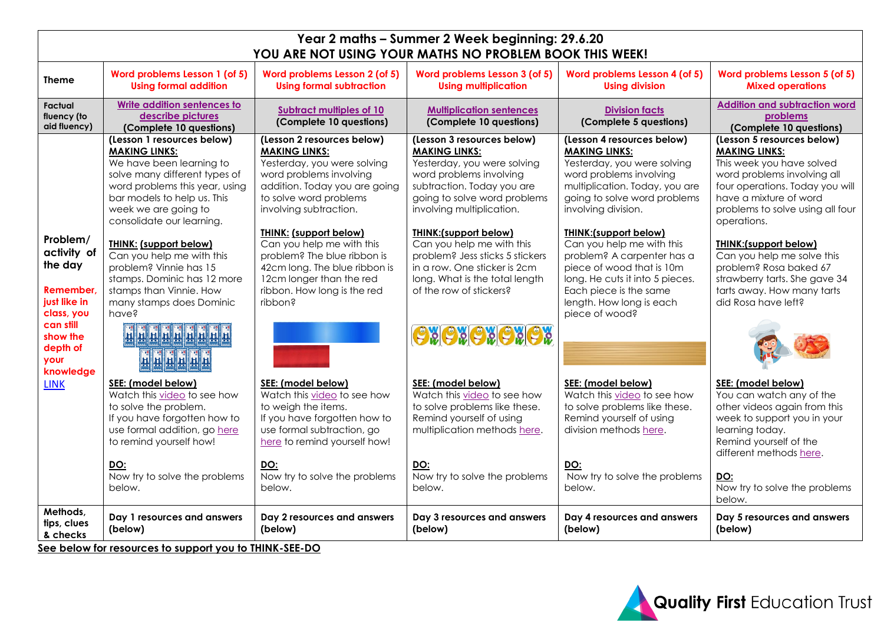| Year 2 maths - Summer 2 Week beginning: 29.6.20<br>YOU ARE NOT USING YOUR MATHS NO PROBLEM BOOK THIS WEEK!                              |                                                                                                                                                                                                                                       |                                                                                                                                                                                                             |                                                                                                                                                                                                         |                                                                                                                                                                                                                                 |                                                                                                                                                                                                                                |  |
|-----------------------------------------------------------------------------------------------------------------------------------------|---------------------------------------------------------------------------------------------------------------------------------------------------------------------------------------------------------------------------------------|-------------------------------------------------------------------------------------------------------------------------------------------------------------------------------------------------------------|---------------------------------------------------------------------------------------------------------------------------------------------------------------------------------------------------------|---------------------------------------------------------------------------------------------------------------------------------------------------------------------------------------------------------------------------------|--------------------------------------------------------------------------------------------------------------------------------------------------------------------------------------------------------------------------------|--|
| <b>Theme</b>                                                                                                                            | Word problems Lesson 1 (of 5)<br><b>Using formal addition</b>                                                                                                                                                                         | Word problems Lesson 2 (of 5)<br><b>Using formal subtraction</b>                                                                                                                                            | Word problems Lesson 3 (of 5)<br><b>Using multiplication</b>                                                                                                                                            | Word problems Lesson 4 (of 5)<br><b>Using division</b>                                                                                                                                                                          | Word problems Lesson 5 (of 5)<br><b>Mixed operations</b>                                                                                                                                                                       |  |
| Factual<br>fluency (to<br>aid fluency)                                                                                                  | Write addition sentences to<br>describe pictures<br>(Complete 10 questions)                                                                                                                                                           | <b>Subtract multiples of 10</b><br>(Complete 10 questions)                                                                                                                                                  | <b>Multiplication sentences</b><br>(Complete 10 questions)                                                                                                                                              | <b>Division facts</b><br>(Complete 5 questions)                                                                                                                                                                                 | <b>Addition and subtraction word</b><br>problems<br>(Complete 10 questions)                                                                                                                                                    |  |
|                                                                                                                                         | (Lesson 1 resources below)<br><b>MAKING LINKS:</b><br>We have been learning to<br>solve many different types of<br>word problems this year, using<br>bar models to help us. This<br>week we are going to<br>consolidate our learning. | (Lesson 2 resources below)<br><b>MAKING LINKS:</b><br>Yesterday, you were solving<br>word problems involving<br>addition. Today you are going<br>to solve word problems<br>involving subtraction.           | (Lesson 3 resources below)<br><b>MAKING LINKS:</b><br>Yesterday, you were solving<br>word problems involving<br>subtraction. Today you are<br>going to solve word problems<br>involving multiplication. | (Lesson 4 resources below)<br><b>MAKING LINKS:</b><br>Yesterday, you were solving<br>word problems involving<br>multiplication. Today, you are<br>going to solve word problems<br>involving division.                           | (Lesson 5 resources below)<br><b>MAKING LINKS:</b><br>This week you have solved<br>word problems involving all<br>four operations. Today you will<br>have a mixture of word<br>problems to solve using all four<br>operations. |  |
| Problem/<br>activity of<br>the day<br>Remember.<br>just like in<br>class, you<br>can still<br>show the<br>depth of<br>your<br>knowledge | <b>THINK: (support below)</b><br>Can you help me with this<br>problem? Vinnie has 15<br>stamps. Dominic has 12 more<br>stamps than Vinnie. How<br>many stamps does Dominic<br>have?<br><u> ਜ਼ੵਜ਼ਜ਼ਜ਼ਜ਼ਜ਼ਜ਼ਜ਼</u><br>HHHHHH            | <b>THINK: (support below)</b><br>Can you help me with this<br>problem? The blue ribbon is<br>42cm long. The blue ribbon is<br>12cm longer than the red<br>ribbon. How long is the red<br>s <sub>noddi</sub> | THINK:(support below)<br>Can you help me with this<br>problem? Jess sticks 5 stickers<br>in a row. One sticker is 2cm<br>long. What is the total length<br>of the row of stickers?<br><b>OXOXOXOXOX</b> | <b>THINK:(support below)</b><br>Can you help me with this<br>problem? A carpenter has a<br>piece of wood that is 10m<br>long. He cuts it into 5 pieces.<br>Each piece is the same<br>length. How long is each<br>piece of wood? | <b>THINK:(support below)</b><br>Can you help me solve this<br>problem? Rosa baked 67<br>strawberry tarts. She gave 34<br>tarts away. How many tarts<br>did Rosa have left?                                                     |  |
| <b>LINK</b>                                                                                                                             | SEE: (model below)<br>Watch this video to see how<br>to solve the problem.<br>If you have forgotten how to<br>use formal addition, go here<br>to remind yourself how!                                                                 | SEE: (model below)<br>Watch this video to see how<br>to weigh the items.<br>If you have forgotten how to<br>use formal subtraction, go<br>here to remind yourself how!                                      | SEE: (model below)<br>Watch this video to see how<br>to solve problems like these.<br>Remind yourself of using<br>multiplication methods here.                                                          | SEE: (model below)<br>Watch this video to see how<br>to solve problems like these.<br>Remind yourself of using<br>division methods here.                                                                                        | SEE: (model below)<br>You can watch any of the<br>other videos again from this<br>week to support you in your<br>learning today.<br>Remind yourself of the<br>different methods here.                                          |  |
|                                                                                                                                         | DO:<br>Now try to solve the problems<br>below.                                                                                                                                                                                        | DO:<br>Now try to solve the problems<br>below.                                                                                                                                                              | <b>DO:</b><br>Now try to solve the problems<br>below.                                                                                                                                                   | DO:<br>Now try to solve the problems<br>below.                                                                                                                                                                                  | DO:<br>Now try to solve the problems<br>below.                                                                                                                                                                                 |  |
| Methods,<br>tips, clues<br>& checks                                                                                                     | Day 1 resources and answers<br>(below)<br>$\mathcal{C}_{\mathcal{A}}$ a hole of the second contract of the second $\mathcal{C}$ . In THEIR CEE DO,                                                                                    | Day 2 resources and answers<br>(below)                                                                                                                                                                      | Day 3 resources and answers<br>(below)                                                                                                                                                                  | Day 4 resources and answers<br>(below)                                                                                                                                                                                          | Day 5 resources and answers<br>(below)                                                                                                                                                                                         |  |

**See below for resources to support you to THINK-SEE-DO**

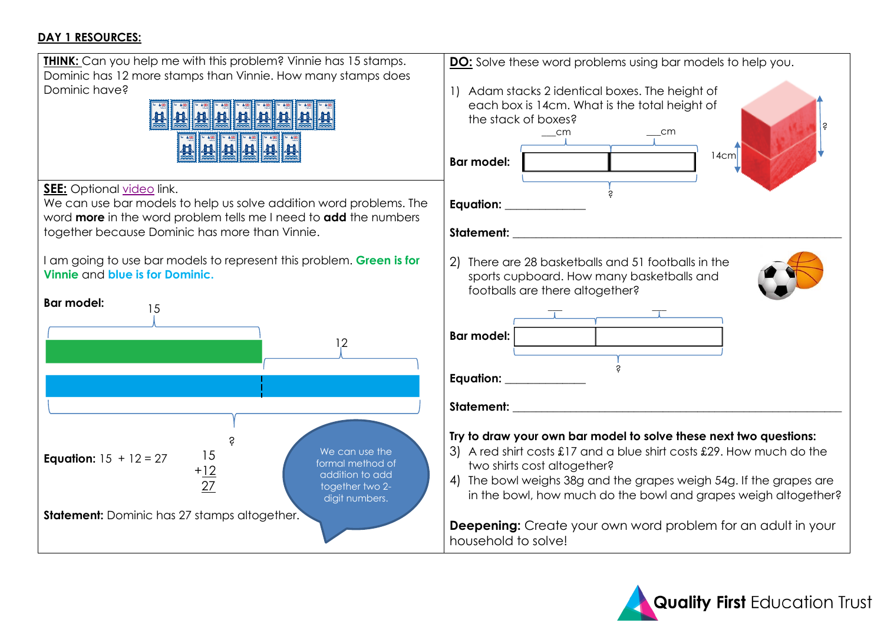### **DAY 1 RESOURCES:**



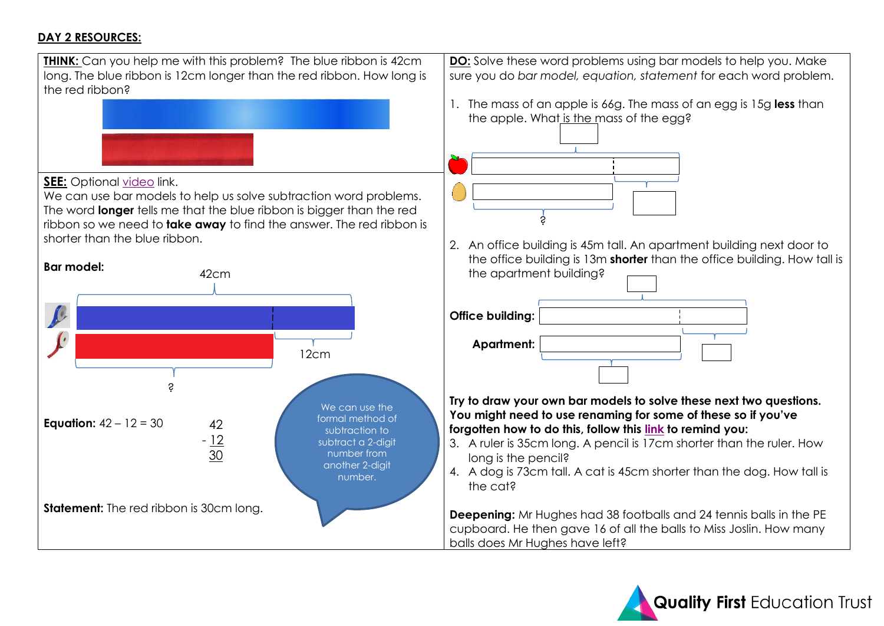#### **DAY 2 RESOURCES:**



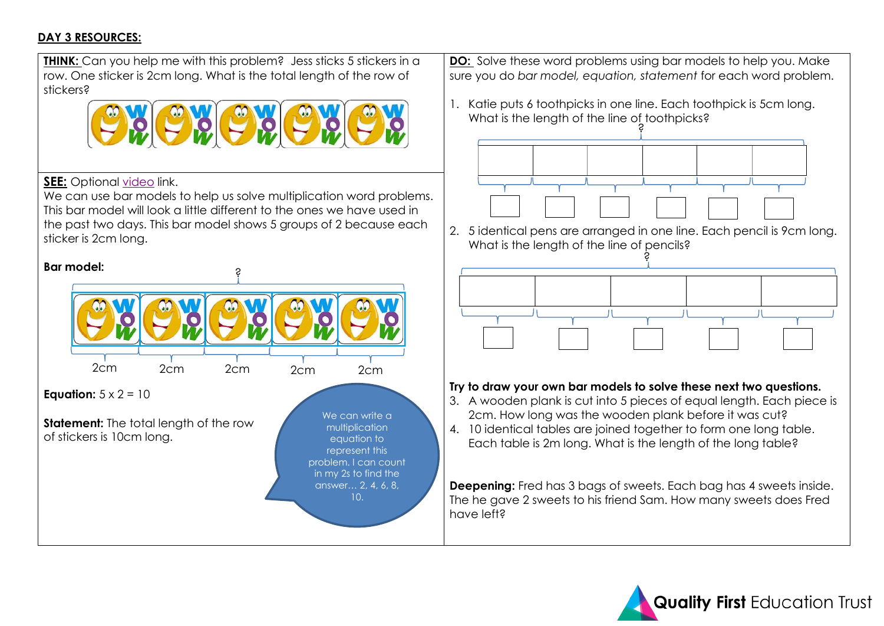#### **DAY 3 RESOURCES:**



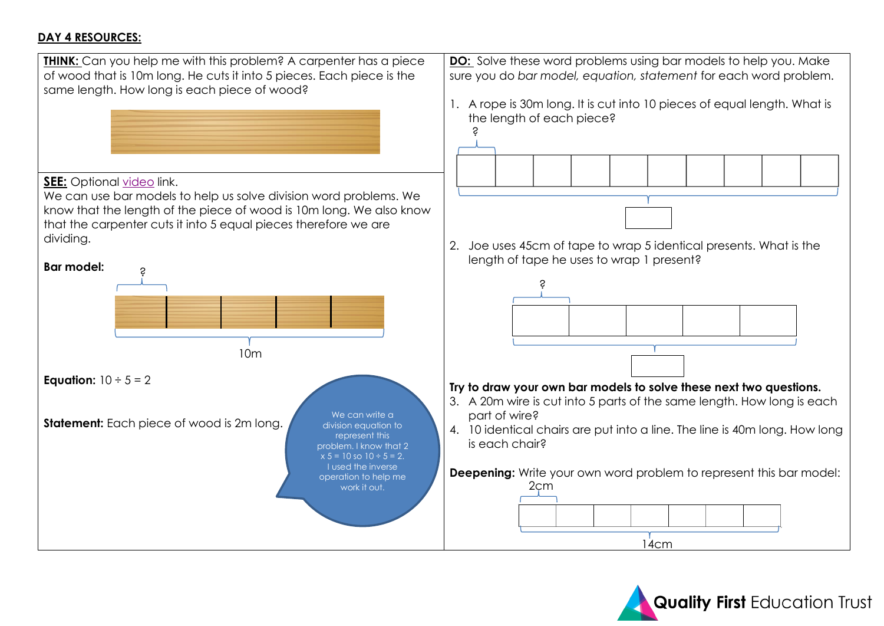#### **DAY 4 RESOURCES:**



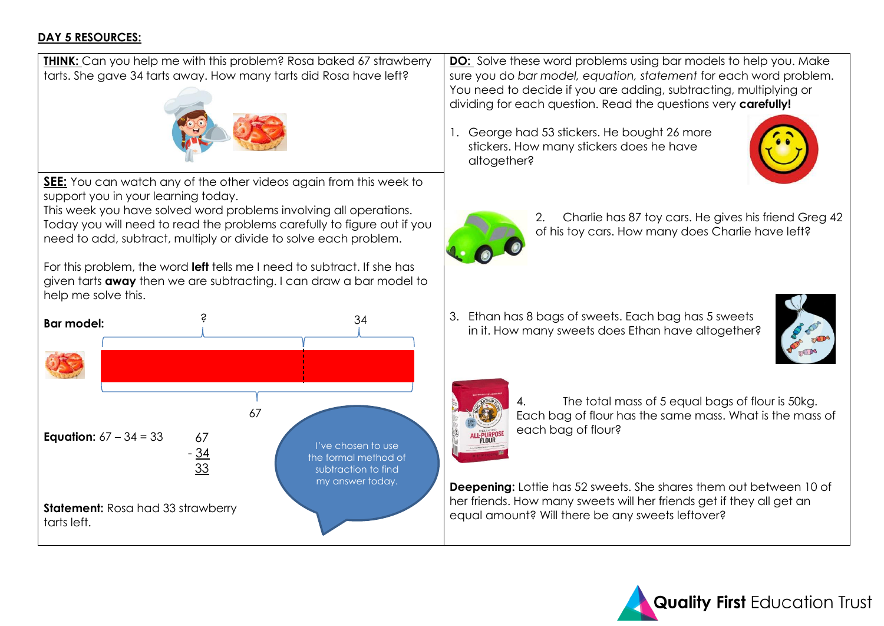#### **DAY 5 RESOURCES:**



Today you will need to read the problems carefully to figure out if you need to add, subtract, multiply or divide to solve each problem.

For this problem, the word **left** tells me I need to subtract. If she has given tarts **away** then we are subtracting. I can draw a bar model to help me solve this.



**DO:** Solve these word problems using bar models to help you. Make sure you do *bar model, equation, statement* for each word problem. You need to decide if you are adding, subtracting, multiplying or dividing for each question. Read the questions very **carefully!**

1. George had 53 stickers. He bought 26 more stickers. How many stickers does he have altogether?





2. Charlie has 87 toy cars. He gives his friend Greg 42 of his toy cars. How many does Charlie have left?

3. Ethan has 8 bags of sweets. Each bag has 5 sweets in it. How many sweets does Ethan have altogether?





The total mass of 5 equal bags of flour is 50kg. Each bag of flour has the same mass. What is the mass of each bag of flour?

**Deepening:** Lottie has 52 sweets. She shares them out between 10 of her friends. How many sweets will her friends get if they all get an equal amount? Will there be any sweets leftover?

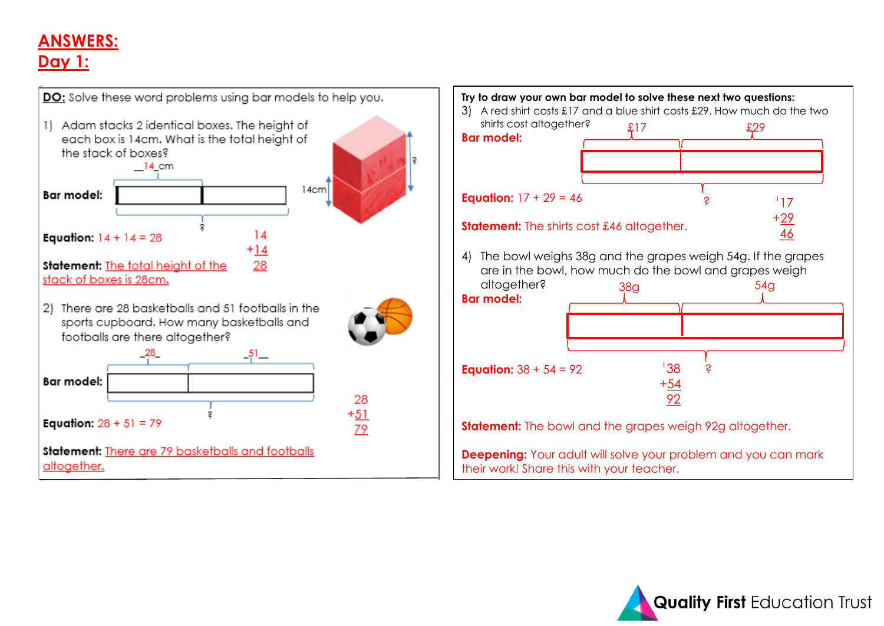# **ANSWERS: Day 1:**



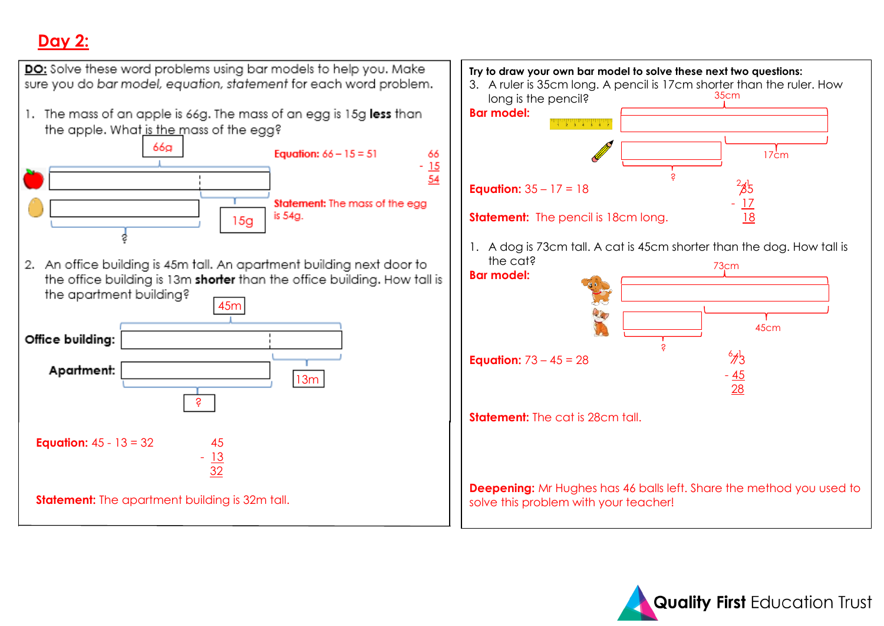# **Day 2:**



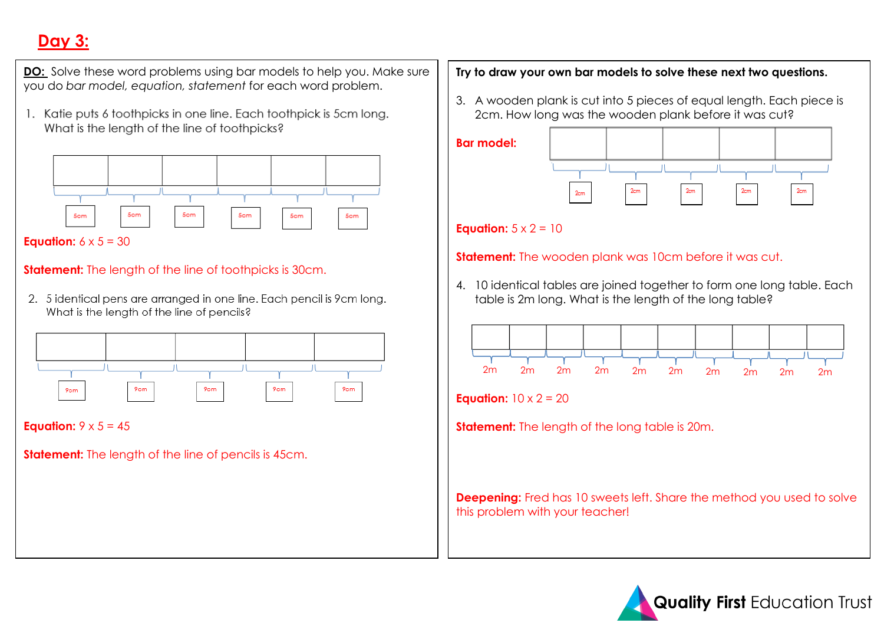# **Day 3:**

**DO:** Solve these word problems using bar models to help you. Make sure you do *bar model, equation, statement* for each word problem.

1. Katie puts 6 toothpicks in one line. Each toothpick is 5cm long. What is the length of the line of toothpicks?



#### **Equation:**  $6 \times 5 = 30$

### **Statement:** The length of the line of toothpicks is 30cm.

2. 5 identical pens are arranged in one line. Each pencil is 9cm long. What is the length of the line of pencils?



**Equation:**  $9 \times 5 = 45$ 

**Statement:** The length of the line of pencils is 45cm.

#### **Try to draw your own bar models to solve these next two questions.**

3. A wooden plank is cut into 5 pieces of equal length. Each piece is 2cm. How long was the wooden plank before it was cut?





### **Equation:**  $5 \times 2 = 10$

#### **Statement:** The wooden plank was 10cm before it was cut.

4. 10 identical tables are joined together to form one long table. Each table is 2m long. What is the length of the long table?



**Equation:**  $10 \times 2 = 20$ 

**Statement:** The length of the long table is 20m.

**Deepening:** Fred has 10 sweets left. Share the method you used to solve this problem with your teacher!

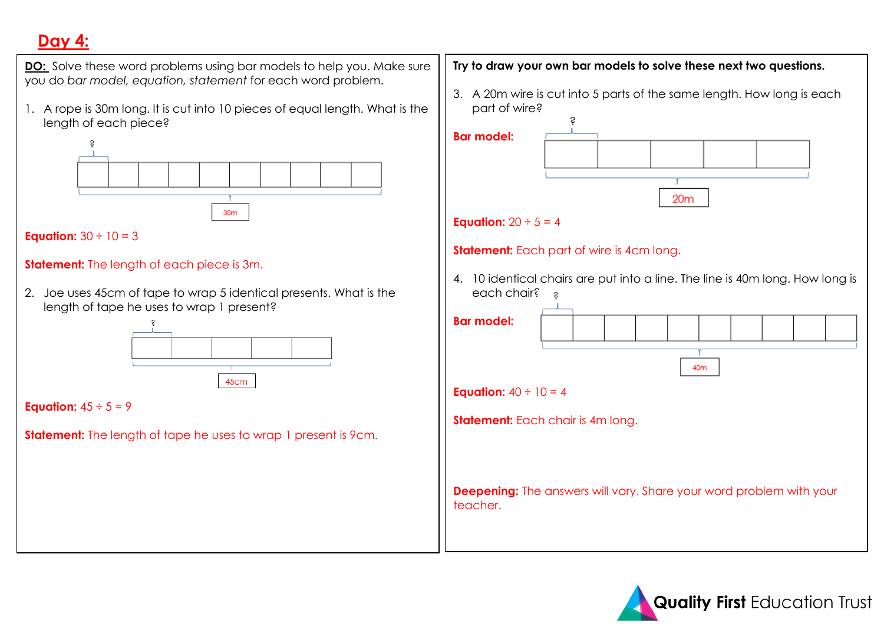# **Day 4:**



1. A rope is 30m long. It is cut into 10 pieces of equal length. What is the length of each piece?





## **Statement:** The length of each piece is 3m.

2. Joe uses 45cm of tape to wrap 5 identical presents. What is the length of tape he uses to wrap 1 present?



**Equation:**  $45 \div 5 = 9$ 

**Statement:** The length of tape he uses to wrap 1 present is 9cm.

## **Try to draw your own bar models to solve these next two questions.**

3. A 20m wire is cut into 5 parts of the same length. How long is each part of wire?

**Bar model:** 



### **Equation:**  $20 \div 5 = 4$

### **Statement:** Each part of wire is 4cm long.

4. 10 identical chairs are put into a line. The line is 40m long. How long is each chair? a

| <b>Bar model:</b>                        |                                                                            |  |  |  |  |  |
|------------------------------------------|----------------------------------------------------------------------------|--|--|--|--|--|
|                                          | 40m                                                                        |  |  |  |  |  |
| <b>Equation:</b> $40 \div 10 = 4$        |                                                                            |  |  |  |  |  |
| <b>Statement:</b> Each chair is 4m long. |                                                                            |  |  |  |  |  |
| teacher.                                 | <b>Deepening:</b> The answers will vary. Share your word problem with your |  |  |  |  |  |